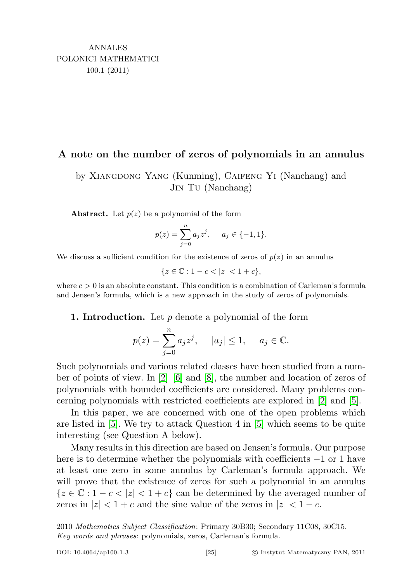## A note on the number of zeros of polynomials in an annulus

by Xiangdong Yang (Kunming), Caifeng Yi (Nanchang) and Jin Tu (Nanchang)

**Abstract.** Let  $p(z)$  be a polynomial of the form

$$
p(z) = \sum_{j=0}^{n} a_j z^j, \quad a_j \in \{-1, 1\}.
$$

We discuss a sufficient condition for the existence of zeros of  $p(z)$  in an annulus

 ${z \in \mathbb{C} : 1 - c < |z| < 1 + c},$ 

where  $c > 0$  is an absolute constant. This condition is a combination of Carleman's formula and Jensen's formula, which is a new approach in the study of zeros of polynomials.

**1. Introduction.** Let  $p$  denote a polynomial of the form

$$
p(z) = \sum_{j=0}^{n} a_j z^j, \quad |a_j| \le 1, \quad a_j \in \mathbb{C}.
$$

Such polynomials and various related classes have been studied from a number of points of view. In [\[2\]](#page-5-0)–[\[6\]](#page-5-1) and [\[8\]](#page-5-2), the number and location of zeros of polynomials with bounded coefficients are considered. Many problems concerning polynomials with restricted coefficients are explored in [\[2\]](#page-5-0) and [\[5\]](#page-5-3).

In this paper, we are concerned with one of the open problems which are listed in [\[5\]](#page-5-3). We try to attack Question 4 in [\[5\]](#page-5-3) which seems to be quite interesting (see Question A below).

Many results in this direction are based on Jensen's formula. Our purpose here is to determine whether the polynomials with coefficients −1 or 1 have at least one zero in some annulus by Carleman's formula approach. We will prove that the existence of zeros for such a polynomial in an annulus  ${z \in \mathbb{C} : 1 - c < |z| < 1 + c}$  can be determined by the averaged number of zeros in  $|z| < 1+c$  and the sine value of the zeros in  $|z| < 1-c$ .

<sup>2010</sup> Mathematics Subject Classification: Primary 30B30; Secondary 11C08, 30C15. Key words and phrases: polynomials, zeros, Carleman's formula.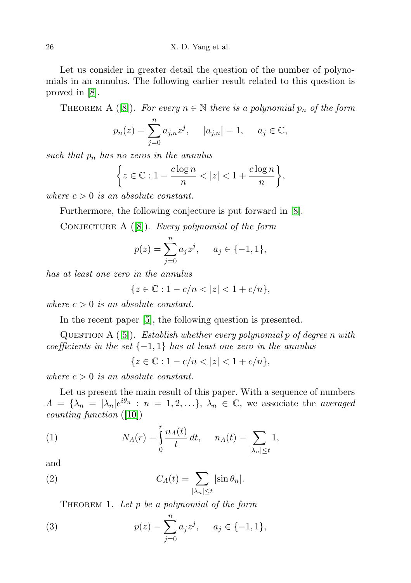Let us consider in greater detail the question of the number of polynomials in an annulus. The following earlier result related to this question is proved in [\[8\]](#page-5-2).

THEOREM A ([\[8\]](#page-5-2)). For every  $n \in \mathbb{N}$  there is a polynomial  $p_n$  of the form

$$
p_n(z) = \sum_{j=0}^n a_{j,n} z^j
$$
,  $|a_{j,n}| = 1$ ,  $a_j \in \mathbb{C}$ ,

such that  $p_n$  has no zeros in the annulus

$$
\bigg\{ z \in \mathbb{C} : 1 - \frac{c \log n}{n} < |z| < 1 + \frac{c \log n}{n} \bigg\},
$$

where  $c > 0$  is an absolute constant.

Furthermore, the following conjecture is put forward in [\[8\]](#page-5-2).

CONJECTURE  $A([8])$  $A([8])$  $A([8])$ . Every polynomial of the form

$$
p(z) = \sum_{j=0}^{n} a_j z^j, \quad a_j \in \{-1, 1\},\
$$

has at least one zero in the annulus

$$
\{z\in\mathbb{C}: 1-c/n<|z|<1+c/n\},
$$

where  $c > 0$  is an absolute constant.

In the recent paper [\[5\]](#page-5-3), the following question is presented.

QUESTION A  $([5])$  $([5])$  $([5])$ . Establish whether every polynomial p of degree n with coefficients in the set  $\{-1,1\}$  has at least one zero in the annulus

$$
\{z \in \mathbb{C} : 1 - c/n < |z| < 1 + c/n\},\
$$

where  $c > 0$  is an absolute constant.

Let us present the main result of this paper. With a sequence of numbers  $\Lambda = {\lambda_n = |\lambda_n|e^{i\theta_n} : n = 1, 2, \ldots}, \lambda_n \in \mathbb{C},$  we associate the *averaged* counting function ([\[10\]](#page-5-4))

(1) 
$$
N_A(r) = \int_0^r \frac{n_A(t)}{t} dt, \quad n_A(t) = \sum_{|\lambda_n| \le t} 1,
$$

and

(2) 
$$
C_{\Lambda}(t) = \sum_{|\lambda_n| \leq t} |\sin \theta_n|.
$$

THEOREM 1. Let p be a polynomial of the form

(3) 
$$
p(z) = \sum_{j=0}^{n} a_j z^j, \quad a_j \in \{-1, 1\},\
$$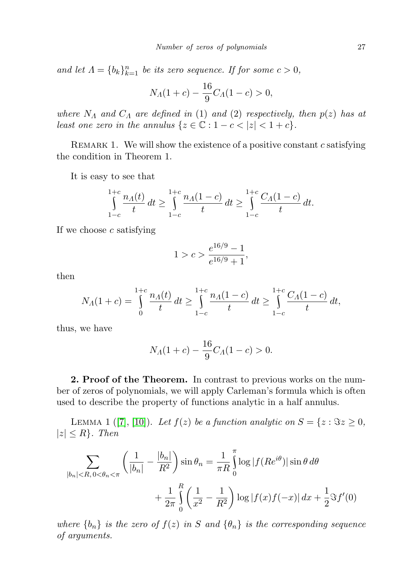and let  $\Lambda = \{b_k\}_{k=1}^n$  be its zero sequence. If for some  $c > 0$ ,

$$
N_A(1+c) - \frac{16}{9}C_A(1-c) > 0,
$$

where  $N_A$  and  $C_A$  are defined in (1) and (2) respectively, then  $p(z)$  has at least one zero in the annulus  $\{z \in \mathbb{C} : 1 - c < |z| < 1 + c\}.$ 

REMARK 1. We will show the existence of a positive constant  $c$  satisfying the condition in Theorem 1.

It is easy to see that

$$
\int_{1-c}^{1+c} \frac{n_A(t)}{t} dt \ge \int_{1-c}^{1+c} \frac{n_A(1-c)}{t} dt \ge \int_{1-c}^{1+c} \frac{C_A(1-c)}{t} dt.
$$

If we choose  $c$  satisfying

$$
1 > c > \frac{e^{16/9} - 1}{e^{16/9} + 1},
$$

then

$$
N_A(1+c) = \int_0^{1+c} \frac{n_A(t)}{t} dt \ge \int_{1-c}^{1+c} \frac{n_A(1-c)}{t} dt \ge \int_{1-c}^{1+c} \frac{C_A(1-c)}{t} dt,
$$

thus, we have

$$
N_A(1+c) - \frac{16}{9}C_A(1-c) > 0.
$$

2. Proof of the Theorem. In contrast to previous works on the number of zeros of polynomials, we will apply Carleman's formula which is often used to describe the property of functions analytic in a half annulus.

LEMMA 1 ([\[7\]](#page-5-5), [\[10\]](#page-5-4)). Let  $f(z)$  be a function analytic on  $S = \{z : \Im z \ge 0,$  $|z| \leq R$ . Then

$$
\sum_{|b_n| < R, 0 < \theta_n < \pi} \left( \frac{1}{|b_n|} - \frac{|b_n|}{R^2} \right) \sin \theta_n = \frac{1}{\pi R} \int_0^{\pi} \log |f(Re^{i\theta})| \sin \theta \, d\theta
$$
\n
$$
+ \frac{1}{2\pi} \int_0^R \left( \frac{1}{x^2} - \frac{1}{R^2} \right) \log |f(x)f(-x)| \, dx + \frac{1}{2} \Im f'(0)
$$

where  ${b_n}$  is the zero of  $f(z)$  in S and  ${\theta_n}$  is the corresponding sequence of arguments.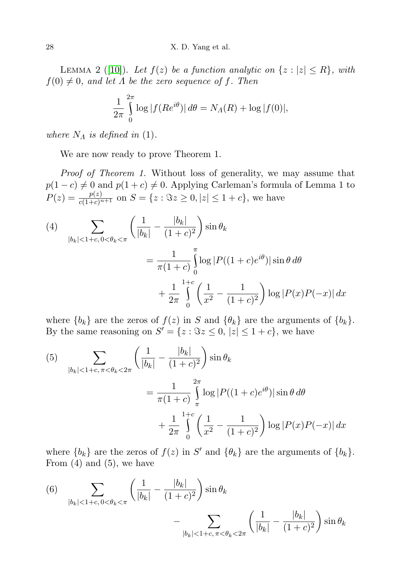LEMMA 2 ([\[10\]](#page-5-4)). Let  $f(z)$  be a function analytic on  $\{z : |z| \le R\}$ , with  $f(0) \neq 0$ , and let  $\Lambda$  be the zero sequence of f. Then

$$
\frac{1}{2\pi} \int_{0}^{2\pi} \log |f(Re^{i\theta})| d\theta = N_A(R) + \log |f(0)|,
$$

where  $N_A$  is defined in (1).

We are now ready to prove Theorem 1.

Proof of Theorem 1. Without loss of generality, we may assume that  $p(1 - c) \neq 0$  and  $p(1 + c) \neq 0$ . Applying Carleman's formula of Lemma 1 to  $P(z) = \frac{p(z)}{c(1+c)^{n+1}}$  on  $S = \{z : \Im z \ge 0, |z| \le 1+c\}$ , we have

(4)  
\n
$$
\sum_{|b_k| < 1+c, 0 < \theta_k < \pi} \left( \frac{1}{|b_k|} - \frac{|b_k|}{(1+c)^2} \right) \sin \theta_k
$$
\n
$$
= \frac{1}{\pi (1+c)} \int_{0}^{\pi} \log |P((1+c)e^{i\theta})| \sin \theta \, d\theta
$$
\n
$$
+ \frac{1}{2\pi} \int_{0}^{1+c} \left( \frac{1}{x^2} - \frac{1}{(1+c)^2} \right) \log |P(x)P(-x)| \, dx
$$

where  $\{b_k\}$  are the zeros of  $f(z)$  in S and  $\{\theta_k\}$  are the arguments of  $\{b_k\}$ . By the same reasoning on  $S' = \{z : \Im z \leq 0, |z| \leq 1+c\}$ , we have

(5)  

$$
\sum_{|b_k|<1+c, \pi < \theta_k < 2\pi} \left( \frac{1}{|b_k|} - \frac{|b_k|}{(1+c)^2} \right) \sin \theta_k
$$

$$
= \frac{1}{\pi (1+c)} \int_{\pi}^{2\pi} \log |P((1+c)e^{i\theta})| \sin \theta d\theta
$$

$$
+ \frac{1}{2\pi} \int_{0}^{1+c} \left( \frac{1}{x^2} - \frac{1}{(1+c)^2} \right) \log |P(x)P(-x)| dx
$$

where  ${b_k}$  are the zeros of  $f(z)$  in S' and  ${\theta_k}$  are the arguments of  ${b_k}$ . From  $(4)$  and  $(5)$ , we have

(6) 
$$
\sum_{|b_k| < 1+c, 0 < \theta_k < \pi} \left( \frac{1}{|b_k|} - \frac{|b_k|}{(1+c)^2} \right) \sin \theta_k - \sum_{|b_k| < 1+c, \pi < \theta_k < 2\pi} \left( \frac{1}{|b_k|} - \frac{|b_k|}{(1+c)^2} \right) \sin \theta_k
$$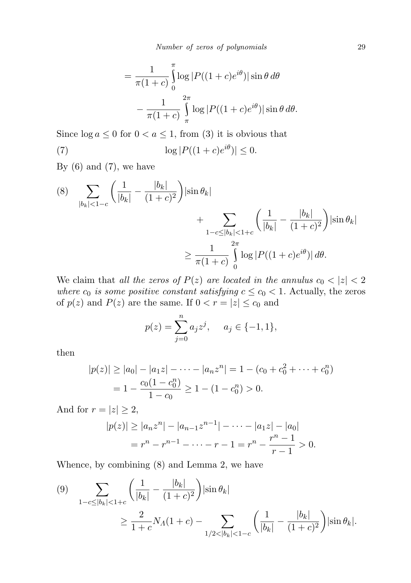$$
= \frac{1}{\pi(1+c)} \int_{0}^{\pi} \log |P((1+c)e^{i\theta})| \sin \theta d\theta
$$

$$
- \frac{1}{\pi(1+c)} \int_{\pi}^{2\pi} \log |P((1+c)e^{i\theta})| \sin \theta d\theta.
$$

Since  $\log a \leq 0$  for  $0 < a \leq 1$ , from (3) it is obvious that

(7)  $\log |P((1+c)e^{i\theta})| \le 0.$ 

By  $(6)$  and  $(7)$ , we have

$$
(8) \sum_{|b_k| < 1-c} \left( \frac{1}{|b_k|} - \frac{|b_k|}{(1+c)^2} \right) \left| \sin \theta_k \right| + \sum_{1-c \le |b_k| < 1+c} \left( \frac{1}{|b_k|} - \frac{|b_k|}{(1+c)^2} \right) \left| \sin \theta_k \right|
$$
\n
$$
\ge \frac{1}{\pi (1+c)} \int_0^{2\pi} \log |P((1+c)e^{i\theta})| \, d\theta.
$$

We claim that all the zeros of  $P(z)$  are located in the annulus  $c_0 < |z| < 2$ where  $c_0$  is some positive constant satisfying  $c \leq c_0 < 1$ . Actually, the zeros of  $p(z)$  and  $P(z)$  are the same. If  $0 < r = |z| \le c_0$  and

$$
p(z) = \sum_{j=0}^{n} a_j z^j, \quad a_j \in \{-1, 1\},\
$$

then

$$
|p(z)| \ge |a_0| - |a_1 z| - \dots - |a_n z^n| = 1 - (c_0 + c_0^2 + \dots + c_0^n)
$$
  
=  $1 - \frac{c_0(1 - c_0^n)}{1 - c_0} \ge 1 - (1 - c_0^n) > 0.$ 

And for  $r = |z| \geq 2$ ,

$$
|p(z)| \ge |a_n z^n| - |a_{n-1} z^{n-1}| - \dots - |a_1 z| - |a_0|
$$
  
=  $r^n - r^{n-1} - \dots - r - 1 = r^n - \frac{r^n - 1}{r - 1} > 0.$ 

Whence, by combining (8) and Lemma 2, we have

$$
(9) \quad \sum_{1-c \leq |b_k| < 1+c} \left( \frac{1}{|b_k|} - \frac{|b_k|}{(1+c)^2} \right) \left| \sin \theta_k \right|
$$
\n
$$
\geq \frac{2}{1+c} N_A(1+c) - \sum_{1/2 < |b_k| < 1-c} \left( \frac{1}{|b_k|} - \frac{|b_k|}{(1+c)^2} \right) \left| \sin \theta_k \right|.
$$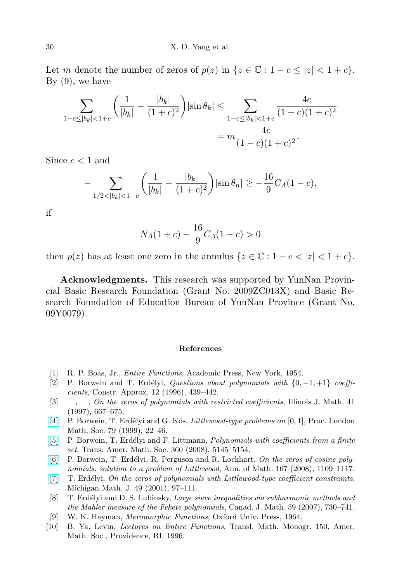Let m denote the number of zeros of  $p(z)$  in  $\{z \in \mathbb{C} : 1 - c \le |z| < 1 + c\}$ . By  $(9)$ , we have

$$
\sum_{1-c \le |b_k| < 1+c} \left( \frac{1}{|b_k|} - \frac{|b_k|}{(1+c)^2} \right) |\sin \theta_k| \le \sum_{1-c \le |b_k| < 1+c} \frac{4c}{(1-c)(1+c)^2}
$$
\n
$$
= m \frac{4c}{(1-c)(1+c)^2}.
$$

Since  $c < 1$  and

$$
-\sum_{1/2 < |b_k| < 1-c} \left( \frac{1}{|b_k|} - \frac{|b_k|}{(1+c)^2} \right) |\sin \theta_n| \ge -\frac{16}{9} C_A (1-c),
$$

if

$$
N_A(1+c) - \frac{16}{9}C_A(1-c) > 0
$$

then  $p(z)$  has at least one zero in the annulus  $\{z \in \mathbb{C} : 1 - c < |z| < 1 + c\}.$ 

Acknowledgments. This research was supported by YunNan Provincial Basic Research Foundation (Grant No. 2009ZC013X) and Basic Research Foundation of Education Bureau of YunNan Province (Grant No. 09Y0079).

## References

- [1] R. P. Boas, Jr., Entire Functions, Academic Press, New York, 1954.
- <span id="page-5-0"></span>[2] P. Borwein and T. Erdélyi, Questions about polynomials with  $\{0, -1, +1\}$  coefficients, Constr. Approx. 12 (1996), 439–442.
- $[3] \quad -$ ,  $\quad$ ,  $\quad$  On the zeros of polynomials with restricted coefficients, Illinois J. Math. 41 (1997), 667–675.
- [\[4\]](http://dx.doi.org/10.1112/S0024611599011831) P. Borwein, T. Erdélyi and G. Kós, *Littlewood-type problems on* [0, 1], Proc. London Math. Soc. 79 (1999), 22–46.
- <span id="page-5-3"></span>[\[5\]](http://dx.doi.org/10.1090/S0002-9947-08-04605-9) P. Borwein, T. Erdélyi and F. Littmann, *Polynomials with coefficients from a finite* set, Trans. Amer. Math. Soc. 360 (2008), 5145–5154.
- <span id="page-5-1"></span>[\[6\]](http://dx.doi.org/10.4007/annals.2008.167.1109) P. Borwein, T. Erdélyi, R. Perguson and R. Lockhart, On the zeros of cosine polynomials: solution to a problem of Littlewood, Ann. of Math. 167 (2008), 1109–1117.
- <span id="page-5-5"></span>[\[7\]](http://dx.doi.org/10.1307/mmj/1008719037) T. Erdélyi, On the zeros of polynomials with Littlewood-type coefficient constraints, Michigan Math. J. 49 (2001), 97–111.
- <span id="page-5-2"></span>[8] T. Erdélyi and D. S. Lubinsky, Large sieve inequalities via subharmonic methods and the Mahler measure of the Fekete polynomials, Canad. J. Math. 59 (2007), 730–741.
- [9] W. K. Hayman, Meromorphic Functions, Oxford Univ. Press, 1964.
- <span id="page-5-4"></span>[10] B. Ya. Levin, Lectures on Entire Functions, Transl. Math. Monogr. 150, Amer. Math. Soc., Providence, RI, 1996.